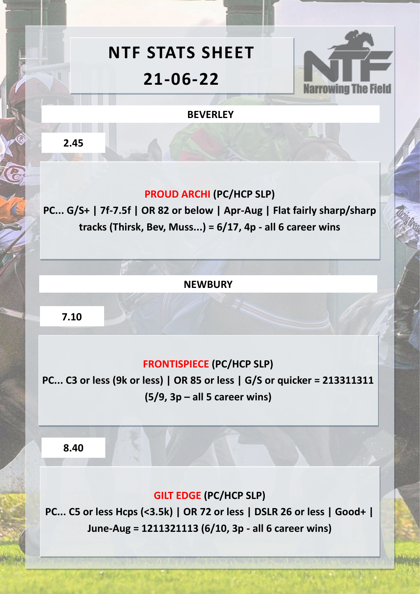# **NTF STATS SHEET 21-06-22**



#### **BEVERLEY**

**2.45**

### **PROUD ARCHI (PC/HCP SLP)**

**PC... G/S+ | 7f-7.5f | OR 82 or below | Apr-Aug | Flat fairly sharp/sharp tracks (Thirsk, Bev, Muss...) = 6/17, 4p - all 6 career wins** 

**NEWBURY**

**7.10**

### **FRONTISPIECE (PC/HCP SLP)**

**PC... C3 or less (9k or less) | OR 85 or less | G/S or quicker = 213311311 (5/9, 3p – all 5 career wins)** 

**8.40**

## **GILT EDGE (PC/HCP SLP)**

**PC... C5 or less Hcps (<3.5k) | OR 72 or less | DSLR 26 or less | Good+ | June-Aug = 1211321113 (6/10, 3p - all 6 career wins)**